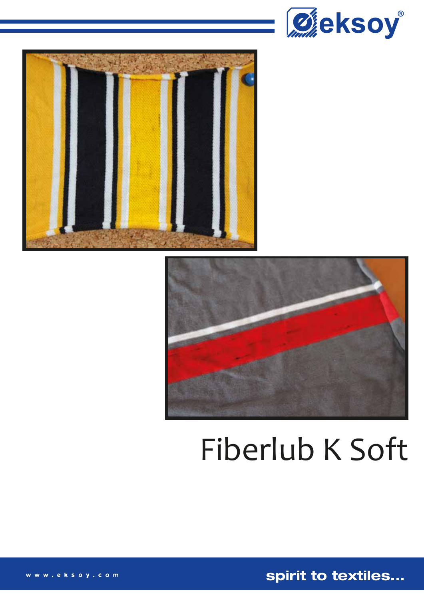





# Fiberlub K Soft

spirit to textiles...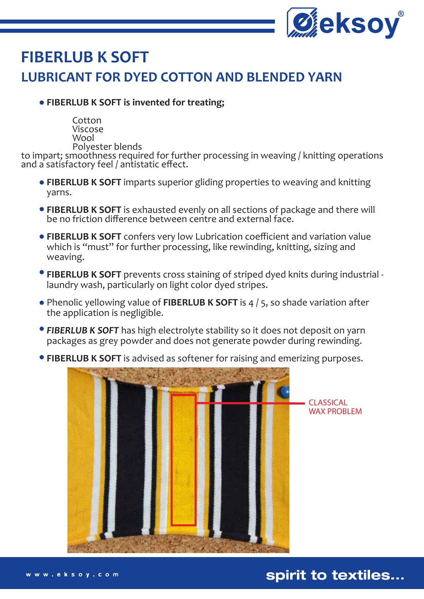

## **FIBERLUB K SOFT LUBRICANT FOR DYED COTTON AND BLENDED YARN**

#### **FIBERLUB K SOFT is invented for treating;**

Cotton Viscose Wool Polyester blends

to impart; smoothness required for further processing in weaving / knitting operations and a satisfactory feel / antistatic effect.

- **FIBERLUB K SOFT** imparts superior gliding properties to weaving and knitting yarns.
- **FIBERLUB K SOFT** is exhausted evenly on all sections of package and there will be no friction difference between centre and external face.
- **FIBERLUB K SOFT** confers very low Lubrication coefficient and variation value which is "must" for further processing, like rewinding, knitting, sizing and weaving.
- **FIBERLUB K SOFT** prevents cross staining of striped dyed knits during industrial laundry wash, particularly on light color dyed stripes.
- Phenolic yellowing value of **FIBERLUB K SOFT** is 4 / 5, so shade variation after the application is negligible.
- *FIBERLUB K SOFT* has high electrolyte stability so it does not deposit on yarn packages as grey powder and does not generate powder during rewinding.
- **FIBERLUB K SOFT** is advised as softener for raising and emerizing purposes.



spirit to textiles...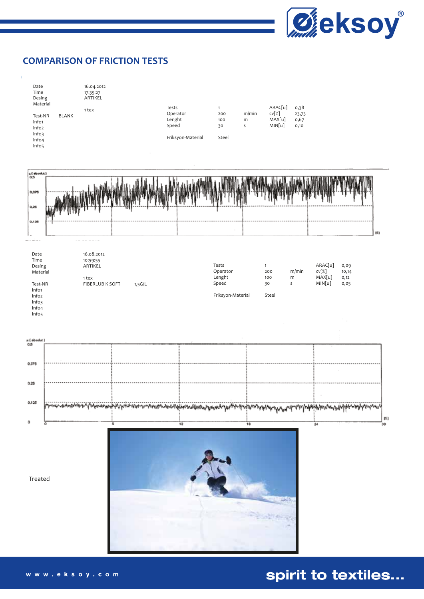

ts)

#### **COMPARISON OF FRICTION TESTS**



| 0.37  |                                                                                                                          |  |     |
|-------|--------------------------------------------------------------------------------------------------------------------------|--|-----|
|       |                                                                                                                          |  |     |
| 0.25  |                                                                                                                          |  |     |
|       |                                                                                                                          |  |     |
| 0.125 | maninang Lapanomong Maranang mangang mangaginamang kamag berya dan sarang dapat Mand ata beghigh sarang palipanah panang |  |     |
| ō     |                                                                                                                          |  | 151 |
|       |                                                                                                                          |  |     |



Treated

## spirit to textiles...

www.eksoy.com